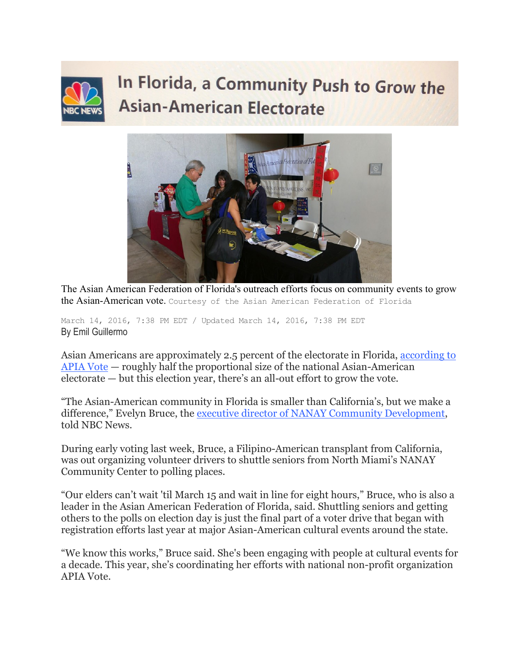## In Florida, a Community Push to Grow the **Asian-American Electorate**



The Asian American Federation of Florida's outreach efforts focus on community events to grow the Asian-American vote. Courtesy of the Asian American Federation of Florida

March 14, 2016, 7:38 PM EDT / Updated March 14, 2016, 7:38 PM EDT By Emil Guillermo

Asian Americans are approximately 2.5 percent of the electorate in Florida, [according to](http://www.apiavote.org/sites/default/files/FL2016.pdf)  [APIA Vote](http://www.apiavote.org/sites/default/files/FL2016.pdf) — roughly half the proportional size of the national Asian-American electorate — but this election year, there's an all-out effort to grow the vote.

"The Asian-American community in Florida is smaller than California's, but we make a difference," Evelyn Bruce, the [executive director of NANAY Community Development,](http://www.nanay.com/) told NBC News.

During early voting last week, Bruce, a Filipino-American transplant from California, was out organizing volunteer drivers to shuttle seniors from North Miami's NANAY Community Center to polling places.

"Our elders can't wait 'til March 15 and wait in line for eight hours," Bruce, who is also a leader in the Asian American Federation of Florida, said. Shuttling seniors and getting others to the polls on election day is just the final part of a voter drive that began with registration efforts last year at major Asian-American cultural events around the state.

"We know this works," Bruce said. She's been engaging with people at cultural events for a decade. This year, she's coordinating her efforts with national non-profit organization APIA Vote.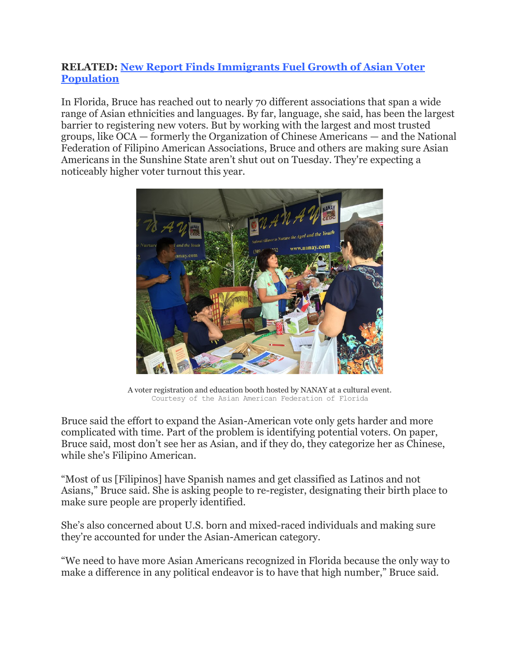## **RELATED: [New Report Finds Immigrants Fuel Growth of Asian Voter](http://www.nbcnews.com/news/asian-america/new-report-finds-immigrants-fuel-growth-asian-voter-population-n499091)  [Population](http://www.nbcnews.com/news/asian-america/new-report-finds-immigrants-fuel-growth-asian-voter-population-n499091)**

In Florida, Bruce has reached out to nearly 70 different associations that span a wide range of Asian ethnicities and languages. By far, language, she said, has been the largest barrier to registering new voters. But by working with the largest and most trusted groups, like OCA — formerly the Organization of Chinese Americans — and the National Federation of Filipino American Associations, Bruce and others are making sure Asian Americans in the Sunshine State aren't shut out on Tuesday. They're expecting a noticeably higher voter turnout this year.



A voter registration and education booth hosted by NANAY at a cultural event. Courtesy of the Asian American Federation of Florida

Bruce said the effort to expand the Asian-American vote only gets harder and more complicated with time. Part of the problem is identifying potential voters. On paper, Bruce said, most don't see her as Asian, and if they do, they categorize her as Chinese, while she's Filipino American.

"Most of us [Filipinos] have Spanish names and get classified as Latinos and not Asians," Bruce said. She is asking people to re-register, designating their birth place to make sure people are properly identified.

She's also concerned about U.S. born and mixed-raced individuals and making sure they're accounted for under the Asian-American category.

"We need to have more Asian Americans recognized in Florida because the only way to make a difference in any political endeavor is to have that high number," Bruce said.